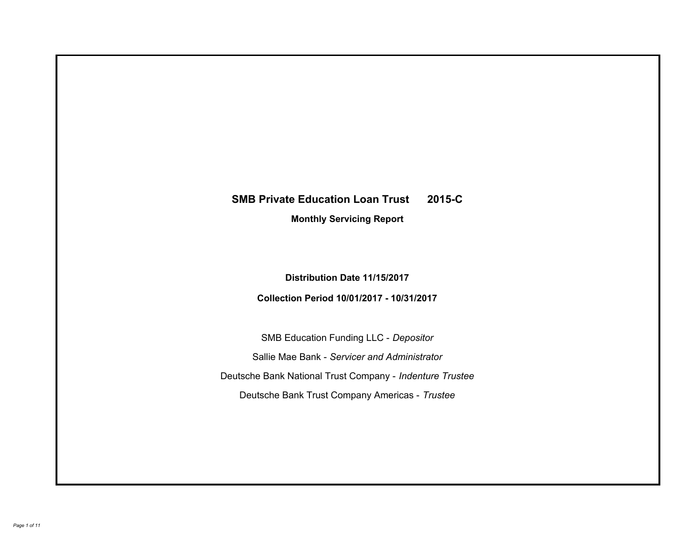# **SMB Private Education Loan Trust 2015-C Monthly Servicing Report**

**Distribution Date 11/15/2017**

**Collection Period 10/01/2017 - 10/31/2017**

SMB Education Funding LLC - *Depositor* Sallie Mae Bank - *Servicer and Administrator* Deutsche Bank National Trust Company - *Indenture Trustee* Deutsche Bank Trust Company Americas - *Trustee*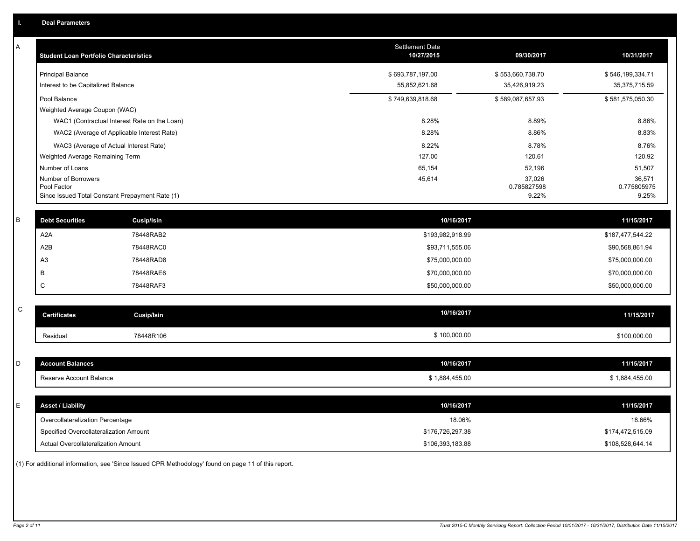| A           | <b>Student Loan Portfolio Characteristics</b>   |                   | Settlement Date<br>10/27/2015 | 09/30/2017       | 10/31/2017       |
|-------------|-------------------------------------------------|-------------------|-------------------------------|------------------|------------------|
|             | <b>Principal Balance</b>                        |                   | \$693,787,197.00              | \$553,660,738.70 | \$546,199,334.71 |
|             | Interest to be Capitalized Balance              |                   | 55,852,621.68                 | 35,426,919.23    | 35,375,715.59    |
|             | Pool Balance                                    |                   | \$749,639,818.68              | \$589,087,657.93 | \$581,575,050.30 |
|             | Weighted Average Coupon (WAC)                   |                   |                               |                  |                  |
|             | WAC1 (Contractual Interest Rate on the Loan)    |                   | 8.28%                         | 8.89%            | 8.86%            |
|             | WAC2 (Average of Applicable Interest Rate)      |                   | 8.28%                         | 8.86%            | 8.83%            |
|             | WAC3 (Average of Actual Interest Rate)          |                   | 8.22%                         | 8.78%            | 8.76%            |
|             | Weighted Average Remaining Term                 |                   | 127.00                        | 120.61           | 120.92           |
|             | Number of Loans<br>Number of Borrowers          |                   | 65,154<br>45,614              | 52,196<br>37,026 | 51,507<br>36,571 |
|             | Pool Factor                                     |                   |                               | 0.785827598      | 0.775805975      |
|             | Since Issued Total Constant Prepayment Rate (1) |                   |                               | 9.22%            | 9.25%            |
| $\sf B$     | <b>Debt Securities</b>                          | Cusip/Isin        | 10/16/2017                    |                  | 11/15/2017       |
|             | A <sub>2</sub> A                                | 78448RAB2         | \$193,982,918.99              |                  | \$187,477,544.22 |
|             | A2B                                             | 78448RAC0         | \$93,711,555.06               |                  | \$90,568,861.94  |
|             | A <sub>3</sub>                                  | 78448RAD8         | \$75,000,000.00               |                  | \$75,000,000.00  |
|             | В                                               | 78448RAE6         | \$70,000,000.00               |                  | \$70,000,000.00  |
|             | C                                               | 78448RAF3         | \$50,000,000.00               |                  | \$50,000,000.00  |
|             |                                                 |                   |                               |                  |                  |
| $\mathsf C$ | <b>Certificates</b>                             | <b>Cusip/Isin</b> | 10/16/2017                    |                  | 11/15/2017       |
|             | Residual                                        | 78448R106         | \$100,000.00                  |                  | \$100,000.00     |
|             |                                                 |                   |                               |                  |                  |
| D           | <b>Account Balances</b>                         |                   | 10/16/2017                    |                  | 11/15/2017       |
|             | Reserve Account Balance                         |                   | \$1,884,455.00                |                  | \$1,884,455.00   |
|             |                                                 |                   |                               |                  |                  |
| Ε           | <b>Asset / Liability</b>                        |                   | 10/16/2017                    |                  | 11/15/2017       |
|             | Overcollateralization Percentage                |                   | 18.06%                        |                  | 18.66%           |
|             | Specified Overcollateralization Amount          |                   | \$176,726,297.38              |                  | \$174,472,515.09 |
|             | <b>Actual Overcollateralization Amount</b>      |                   | \$106,393,183.88              |                  | \$108,528,644.14 |

(1) For additional information, see 'Since Issued CPR Methodology' found on page 11 of this report.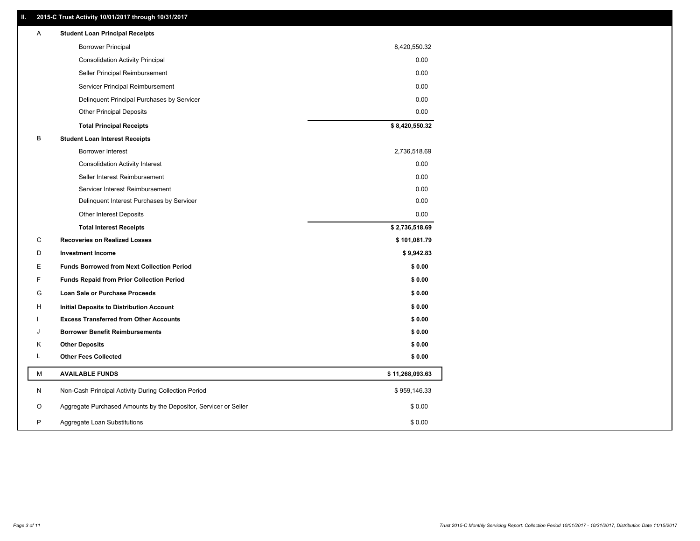# **II. 2015-C Trust Activity 10/01/2017 through 10/31/2017**

| <b>Borrower Principal</b>                                             | 8,420,550.32    |
|-----------------------------------------------------------------------|-----------------|
| <b>Consolidation Activity Principal</b>                               | 0.00            |
| Seller Principal Reimbursement                                        | 0.00            |
| Servicer Principal Reimbursement                                      | 0.00            |
| Delinquent Principal Purchases by Servicer                            | 0.00            |
| <b>Other Principal Deposits</b>                                       | 0.00            |
| <b>Total Principal Receipts</b>                                       | \$8,420,550.32  |
| В<br><b>Student Loan Interest Receipts</b>                            |                 |
| Borrower Interest                                                     | 2,736,518.69    |
| <b>Consolidation Activity Interest</b>                                | 0.00            |
| Seller Interest Reimbursement                                         | 0.00            |
| Servicer Interest Reimbursement                                       | 0.00            |
| Delinquent Interest Purchases by Servicer                             | 0.00            |
| <b>Other Interest Deposits</b>                                        | 0.00            |
| <b>Total Interest Receipts</b>                                        | \$2,736,518.69  |
| C<br><b>Recoveries on Realized Losses</b>                             | \$101,081.79    |
| D<br><b>Investment Income</b>                                         | \$9,942.83      |
| <b>Funds Borrowed from Next Collection Period</b><br>E.               | \$0.00          |
| F<br><b>Funds Repaid from Prior Collection Period</b>                 | \$0.00          |
| G<br>Loan Sale or Purchase Proceeds                                   | \$0.00          |
| н<br>Initial Deposits to Distribution Account                         | \$0.00          |
| <b>Excess Transferred from Other Accounts</b>                         | \$0.00          |
| <b>Borrower Benefit Reimbursements</b><br>J                           | \$0.00          |
| <b>Other Deposits</b><br>Κ                                            | \$0.00          |
| Г<br><b>Other Fees Collected</b>                                      | \$0.00          |
| М<br><b>AVAILABLE FUNDS</b>                                           | \$11,268,093.63 |
| N<br>Non-Cash Principal Activity During Collection Period             | \$959,146.33    |
| Aggregate Purchased Amounts by the Depositor, Servicer or Seller<br>O | \$0.00          |
| P<br>Aggregate Loan Substitutions                                     | \$0.00          |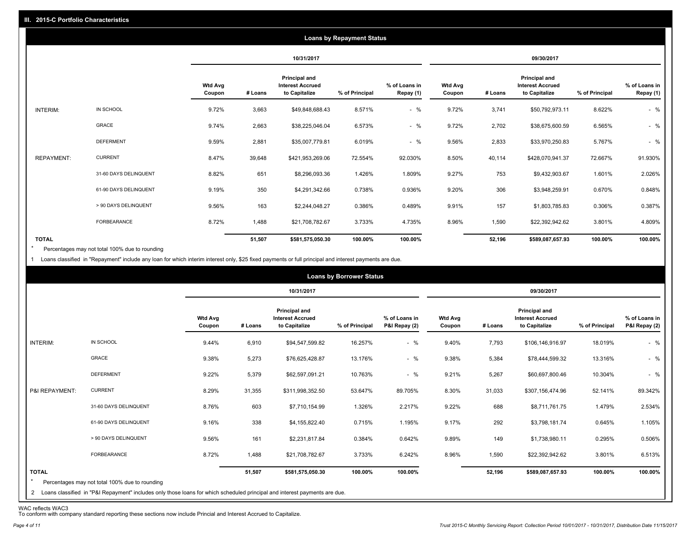|                   |                       |                          |         |                                                           | <b>Loans by Repayment Status</b> |                            |                          |         |                                                                  |                |                            |
|-------------------|-----------------------|--------------------------|---------|-----------------------------------------------------------|----------------------------------|----------------------------|--------------------------|---------|------------------------------------------------------------------|----------------|----------------------------|
|                   |                       |                          |         | 10/31/2017                                                |                                  |                            |                          |         | 09/30/2017                                                       |                |                            |
|                   |                       | <b>Wtd Avg</b><br>Coupon | # Loans | Principal and<br><b>Interest Accrued</b><br>to Capitalize | % of Principal                   | % of Loans in<br>Repay (1) | <b>Wtd Avg</b><br>Coupon | # Loans | <b>Principal and</b><br><b>Interest Accrued</b><br>to Capitalize | % of Principal | % of Loans in<br>Repay (1) |
| INTERIM:          | IN SCHOOL             | 9.72%                    | 3,663   | \$49,848,688.43                                           | 8.571%                           | $-$ %                      | 9.72%                    | 3,741   | \$50,792,973.11                                                  | 8.622%         | $-$ %                      |
|                   | GRACE                 | 9.74%                    | 2,663   | \$38,225,046.04                                           | 6.573%                           | $-$ %                      | 9.72%                    | 2,702   | \$38,675,600.59                                                  | 6.565%         | $-$ %                      |
|                   | <b>DEFERMENT</b>      | 9.59%                    | 2,881   | \$35,007,779.81                                           | 6.019%                           | $-$ %                      | 9.56%                    | 2,833   | \$33,970,250.83                                                  | 5.767%         | $-$ %                      |
| <b>REPAYMENT:</b> | <b>CURRENT</b>        | 8.47%                    | 39,648  | \$421,953,269.06                                          | 72.554%                          | 92.030%                    | 8.50%                    | 40,114  | \$428,070,941.37                                                 | 72.667%        | 91.930%                    |
|                   | 31-60 DAYS DELINQUENT | 8.82%                    | 651     | \$8,296,093.36                                            | 1.426%                           | 1.809%                     | 9.27%                    | 753     | \$9,432,903.67                                                   | 1.601%         | 2.026%                     |
|                   | 61-90 DAYS DELINQUENT | 9.19%                    | 350     | \$4,291,342.66                                            | 0.738%                           | 0.936%                     | 9.20%                    | 306     | \$3,948,259.91                                                   | 0.670%         | 0.848%                     |
|                   | > 90 DAYS DELINQUENT  | 9.56%                    | 163     | \$2,244,048.27                                            | 0.386%                           | 0.489%                     | 9.91%                    | 157     | \$1,803,785.83                                                   | 0.306%         | 0.387%                     |
|                   | <b>FORBEARANCE</b>    | 8.72%                    | 1,488   | \$21,708,782.67                                           | 3.733%                           | 4.735%                     | 8.96%                    | 1,590   | \$22,392,942.62                                                  | 3.801%         | 4.809%                     |
| <b>TOTAL</b>      |                       |                          | 51,507  | \$581,575,050.30                                          | 100.00%                          | 100.00%                    |                          | 52,196  | \$589,087,657.93                                                 | 100.00%        | 100.00%                    |

Percentages may not total 100% due to rounding  $\star$ 

1 Loans classified in "Repayment" include any loan for which interim interest only, \$25 fixed payments or full principal and interest payments are due.

|                                                                                                                                                                                                           | <b>Wtd Avg</b><br>Coupon |         | 10/31/2017<br>Principal and              |                |                                |                          |         | 09/30/2017                                                |                |                                |
|-----------------------------------------------------------------------------------------------------------------------------------------------------------------------------------------------------------|--------------------------|---------|------------------------------------------|----------------|--------------------------------|--------------------------|---------|-----------------------------------------------------------|----------------|--------------------------------|
|                                                                                                                                                                                                           |                          |         |                                          |                |                                |                          |         |                                                           |                |                                |
|                                                                                                                                                                                                           |                          | # Loans | <b>Interest Accrued</b><br>to Capitalize | % of Principal | % of Loans in<br>P&I Repay (2) | <b>Wtd Avg</b><br>Coupon | # Loans | Principal and<br><b>Interest Accrued</b><br>to Capitalize | % of Principal | % of Loans in<br>P&I Repay (2) |
| IN SCHOOL<br>INTERIM:                                                                                                                                                                                     | 9.44%                    | 6,910   | \$94,547,599.82                          | 16.257%        | $-$ %                          | 9.40%                    | 7,793   | \$106,146,916.97                                          | 18.019%        | $-$ %                          |
| GRACE                                                                                                                                                                                                     | 9.38%                    | 5,273   | \$76,625,428.87                          | 13.176%        | $-$ %                          | 9.38%                    | 5,384   | \$78,444,599.32                                           | 13.316%        | $-$ %                          |
| <b>DEFERMENT</b>                                                                                                                                                                                          | 9.22%                    | 5,379   | \$62,597,091.21                          | 10.763%        | $-$ %                          | 9.21%                    | 5,267   | \$60,697,800.46                                           | 10.304%        | $-$ %                          |
| <b>CURRENT</b><br>P&I REPAYMENT:                                                                                                                                                                          | 8.29%                    | 31,355  | \$311,998,352.50                         | 53.647%        | 89.705%                        | 8.30%                    | 31,033  | \$307,156,474.96                                          | 52.141%        | 89.342%                        |
| 31-60 DAYS DELINQUENT                                                                                                                                                                                     | 8.76%                    | 603     | \$7,710,154.99                           | 1.326%         | 2.217%                         | 9.22%                    | 688     | \$8,711,761.75                                            | 1.479%         | 2.534%                         |
| 61-90 DAYS DELINQUENT                                                                                                                                                                                     | 9.16%                    | 338     | \$4,155,822.40                           | 0.715%         | 1.195%                         | 9.17%                    | 292     | \$3,798,181.74                                            | 0.645%         | 1.105%                         |
| > 90 DAYS DELINQUENT                                                                                                                                                                                      | 9.56%                    | 161     | \$2,231,817.84                           | 0.384%         | 0.642%                         | 9.89%                    | 149     | \$1,738,980.11                                            | 0.295%         | 0.506%                         |
| FORBEARANCE                                                                                                                                                                                               | 8.72%                    | 1,488   | \$21,708,782.67                          | 3.733%         | 6.242%                         | 8.96%                    | 1,590   | \$22,392,942.62                                           | 3.801%         | 6.513%                         |
| <b>TOTAL</b><br>$\star$<br>Percentages may not total 100% due to rounding<br>2 Loans classified in "P&I Repayment" includes only those loans for which scheduled principal and interest payments are due. |                          | 51,507  | \$581,575,050.30                         | 100.00%        | 100.00%                        |                          | 52,196  | \$589,087,657.93                                          | 100.00%        | 100.00%                        |

WAC reflects WAC3 To conform with company standard reporting these sections now include Princial and Interest Accrued to Capitalize.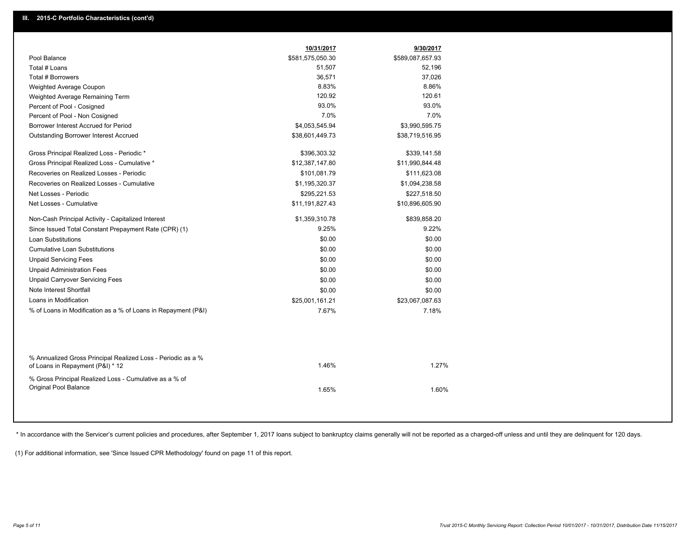|                                                                                                  | 10/31/2017       | 9/30/2017        |
|--------------------------------------------------------------------------------------------------|------------------|------------------|
| Pool Balance                                                                                     | \$581,575,050.30 | \$589,087,657.93 |
| Total # Loans                                                                                    | 51,507           | 52,196           |
| Total # Borrowers                                                                                | 36,571           | 37,026           |
| Weighted Average Coupon                                                                          | 8.83%            | 8.86%            |
| Weighted Average Remaining Term                                                                  | 120.92           | 120.61           |
| Percent of Pool - Cosigned                                                                       | 93.0%            | 93.0%            |
| Percent of Pool - Non Cosigned                                                                   | 7.0%             | 7.0%             |
| Borrower Interest Accrued for Period                                                             | \$4,053,545.94   | \$3,990,595.75   |
| Outstanding Borrower Interest Accrued                                                            | \$38,601,449.73  | \$38,719,516.95  |
| Gross Principal Realized Loss - Periodic *                                                       | \$396,303.32     | \$339,141.58     |
| Gross Principal Realized Loss - Cumulative *                                                     | \$12,387,147.80  | \$11,990,844.48  |
| Recoveries on Realized Losses - Periodic                                                         | \$101,081.79     | \$111,623.08     |
| Recoveries on Realized Losses - Cumulative                                                       | \$1,195,320.37   | \$1,094,238.58   |
| Net Losses - Periodic                                                                            | \$295,221.53     | \$227,518.50     |
| Net Losses - Cumulative                                                                          | \$11,191,827.43  | \$10,896,605.90  |
| Non-Cash Principal Activity - Capitalized Interest                                               | \$1,359,310.78   | \$839,858.20     |
| Since Issued Total Constant Prepayment Rate (CPR) (1)                                            | 9.25%            | 9.22%            |
| <b>Loan Substitutions</b>                                                                        | \$0.00           | \$0.00           |
| <b>Cumulative Loan Substitutions</b>                                                             | \$0.00           | \$0.00           |
| <b>Unpaid Servicing Fees</b>                                                                     | \$0.00           | \$0.00           |
| <b>Unpaid Administration Fees</b>                                                                | \$0.00           | \$0.00           |
| <b>Unpaid Carryover Servicing Fees</b>                                                           | \$0.00           | \$0.00           |
| Note Interest Shortfall                                                                          | \$0.00           | \$0.00           |
| Loans in Modification                                                                            | \$25,001,161.21  | \$23,067,087.63  |
| % of Loans in Modification as a % of Loans in Repayment (P&I)                                    | 7.67%            | 7.18%            |
|                                                                                                  |                  |                  |
| % Annualized Gross Principal Realized Loss - Periodic as a %<br>of Loans in Repayment (P&I) * 12 | 1.46%            | 1.27%            |
| % Gross Principal Realized Loss - Cumulative as a % of<br>Original Pool Balance                  | 1.65%            | 1.60%            |

\* In accordance with the Servicer's current policies and procedures, after September 1, 2017 Ioans subject to bankruptcy claims generally will not be reported as a charged-off unless and until they are delinquent for 120 d

(1) For additional information, see 'Since Issued CPR Methodology' found on page 11 of this report.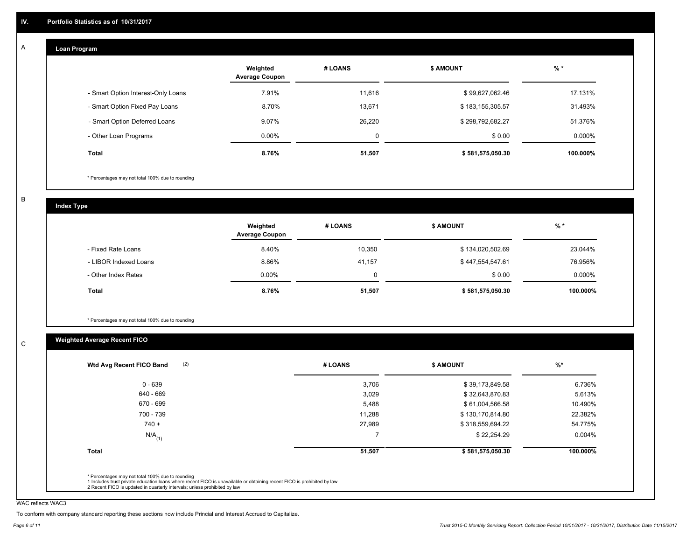#### **Loan Program**  A

|                                    | Weighted<br><b>Average Coupon</b> | # LOANS | <b>\$ AMOUNT</b> | $%$ *     |
|------------------------------------|-----------------------------------|---------|------------------|-----------|
| - Smart Option Interest-Only Loans | 7.91%                             | 11.616  | \$99,627,062.46  | 17.131%   |
| - Smart Option Fixed Pay Loans     | 8.70%                             | 13,671  | \$183,155,305.57 | 31.493%   |
| - Smart Option Deferred Loans      | 9.07%                             | 26.220  | \$298,792,682.27 | 51.376%   |
| - Other Loan Programs              | $0.00\%$                          | 0       | \$0.00           | $0.000\%$ |
| <b>Total</b>                       | 8.76%                             | 51,507  | \$581,575,050.30 | 100.000%  |

\* Percentages may not total 100% due to rounding

B

C

**Index Type**

|                       | Weighted<br><b>Average Coupon</b> | # LOANS | <b>\$ AMOUNT</b> | $%$ *     |
|-----------------------|-----------------------------------|---------|------------------|-----------|
| - Fixed Rate Loans    | 8.40%                             | 10,350  | \$134,020,502.69 | 23.044%   |
| - LIBOR Indexed Loans | 8.86%                             | 41.157  | \$447,554,547.61 | 76.956%   |
| - Other Index Rates   | $0.00\%$                          | 0       | \$0.00           | $0.000\%$ |
| <b>Total</b>          | 8.76%                             | 51,507  | \$581,575,050.30 | 100.000%  |

\* Percentages may not total 100% due to rounding

# **Weighted Average Recent FICO**

| $0 - 639$            | 3,706  | \$39,173,849.58  | 6.736%    |
|----------------------|--------|------------------|-----------|
| 640 - 669            | 3,029  | \$32,643,870.83  | 5.613%    |
| 670 - 699            | 5,488  | \$61,004,566.58  | 10.490%   |
| 700 - 739            | 11,288 | \$130,170,814.80 | 22.382%   |
| $740 +$              | 27,989 | \$318,559,694.22 | 54.775%   |
| $N/A$ <sub>(1)</sub> |        | \$22,254.29      | $0.004\%$ |
| <b>Total</b>         | 51,507 | \$581,575,050.30 | 100.000%  |

WAC reflects WAC3

To conform with company standard reporting these sections now include Princial and Interest Accrued to Capitalize.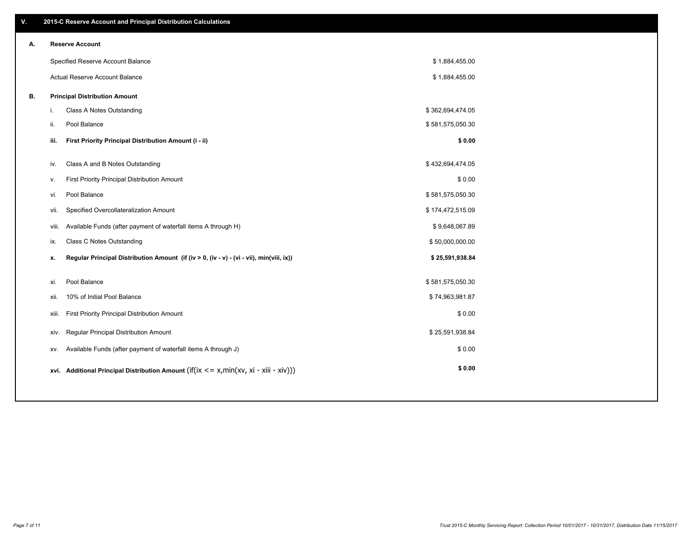| V. | 2015-C Reserve Account and Principal Distribution Calculations                                 |                  |  |
|----|------------------------------------------------------------------------------------------------|------------------|--|
| А. | <b>Reserve Account</b>                                                                         |                  |  |
|    | Specified Reserve Account Balance                                                              | \$1,884,455.00   |  |
|    | Actual Reserve Account Balance                                                                 | \$1,884,455.00   |  |
| В. | <b>Principal Distribution Amount</b>                                                           |                  |  |
|    | Class A Notes Outstanding<br>i.                                                                | \$362,694,474.05 |  |
|    | Pool Balance<br>ii.                                                                            | \$581,575,050.30 |  |
|    | First Priority Principal Distribution Amount (i - ii)<br>iii.                                  | \$0.00           |  |
|    |                                                                                                |                  |  |
|    | Class A and B Notes Outstanding<br>iv.                                                         | \$432,694,474.05 |  |
|    | First Priority Principal Distribution Amount<br>v.                                             | \$0.00           |  |
|    | Pool Balance<br>vi.                                                                            | \$581,575,050.30 |  |
|    | Specified Overcollateralization Amount<br>vii.                                                 | \$174,472,515.09 |  |
|    | Available Funds (after payment of waterfall items A through H)<br>viii.                        | \$9,648,067.89   |  |
|    | Class C Notes Outstanding<br>ix.                                                               | \$50,000,000.00  |  |
|    | Regular Principal Distribution Amount (if (iv > 0, (iv - v) - (vi - vii), min(viii, ix))<br>x. | \$25,591,938.84  |  |
|    | Pool Balance<br>xi.                                                                            | \$581,575,050.30 |  |
|    | 10% of Initial Pool Balance<br>xii.                                                            | \$74,963,981.87  |  |
|    |                                                                                                |                  |  |
|    | First Priority Principal Distribution Amount<br>xiii.                                          | \$0.00           |  |
|    | Regular Principal Distribution Amount<br>xiv.                                                  | \$25,591,938.84  |  |
|    | Available Funds (after payment of waterfall items A through J)<br>XV.                          | \$0.00           |  |
|    | xvi. Additional Principal Distribution Amount (if(ix $\lt$ = x, min(xv, xi - xiii - xiv)))     | \$0.00           |  |
|    |                                                                                                |                  |  |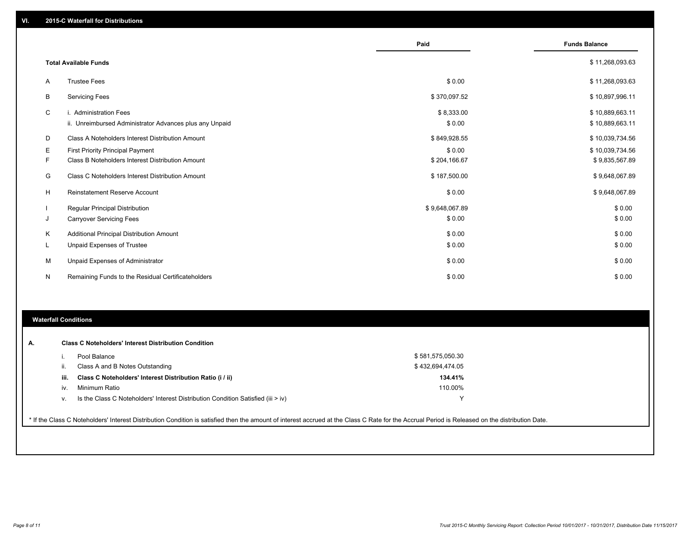|   |                                                                                   | Paid                 | <b>Funds Balance</b>               |
|---|-----------------------------------------------------------------------------------|----------------------|------------------------------------|
|   | <b>Total Available Funds</b>                                                      |                      | \$11,268,093.63                    |
| A | <b>Trustee Fees</b>                                                               | \$0.00               | \$11,268,093.63                    |
| B | <b>Servicing Fees</b>                                                             | \$370,097.52         | \$10,897,996.11                    |
| C | i. Administration Fees<br>ii. Unreimbursed Administrator Advances plus any Unpaid | \$8,333.00<br>\$0.00 | \$10,889,663.11<br>\$10,889,663.11 |
| D | Class A Noteholders Interest Distribution Amount                                  | \$849,928.55         | \$10,039,734.56                    |
| Е | First Priority Principal Payment                                                  | \$0.00               | \$10,039,734.56                    |
| F | Class B Noteholders Interest Distribution Amount                                  | \$204,166.67         | \$9,835,567.89                     |
| G | Class C Noteholders Interest Distribution Amount                                  | \$187,500.00         | \$9,648,067.89                     |
| H | <b>Reinstatement Reserve Account</b>                                              | \$0.00               | \$9,648,067.89                     |
|   | Regular Principal Distribution                                                    | \$9,648,067.89       | \$0.00                             |
| J | <b>Carryover Servicing Fees</b>                                                   | \$0.00               | \$0.00                             |
| Κ | Additional Principal Distribution Amount                                          | \$0.00               | \$0.00                             |
| L | Unpaid Expenses of Trustee                                                        | \$0.00               | \$0.00                             |
| M | Unpaid Expenses of Administrator                                                  | \$0.00               | \$0.00                             |
| N | Remaining Funds to the Residual Certificateholders                                | \$0.00               | \$0.00                             |

# **Waterfall Conditions**

|      | Pool Balance                                                                       | \$581,575,050.30 |
|------|------------------------------------------------------------------------------------|------------------|
| Ш.   | Class A and B Notes Outstanding                                                    | \$432.694.474.05 |
| iii. | Class C Noteholders' Interest Distribution Ratio (i / ii)                          | 134.41%          |
| iv.  | Minimum Ratio                                                                      | 110.00%          |
| v.   | Is the Class C Noteholders' Interest Distribution Condition Satisfied (iii $>$ iv) | ◡                |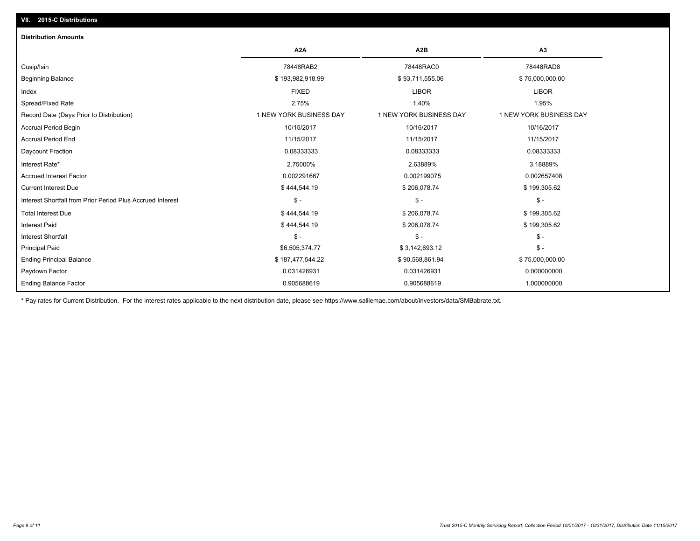# **VII. 2015-C Distributions**

| <b>Distribution Amounts</b>                                |                         |                         |                         |
|------------------------------------------------------------|-------------------------|-------------------------|-------------------------|
|                                                            | A <sub>2</sub> A        | A <sub>2</sub> B        | A3                      |
| Cusip/Isin                                                 | 78448RAB2               | 78448RAC0               | 78448RAD8               |
| <b>Beginning Balance</b>                                   | \$193,982,918.99        | \$93,711,555.06         | \$75,000,000.00         |
| Index                                                      | <b>FIXED</b>            | <b>LIBOR</b>            | <b>LIBOR</b>            |
| Spread/Fixed Rate                                          | 2.75%                   | 1.40%                   | 1.95%                   |
| Record Date (Days Prior to Distribution)                   | 1 NEW YORK BUSINESS DAY | 1 NEW YORK BUSINESS DAY | 1 NEW YORK BUSINESS DAY |
| <b>Accrual Period Begin</b>                                | 10/15/2017              | 10/16/2017              | 10/16/2017              |
| <b>Accrual Period End</b>                                  | 11/15/2017              | 11/15/2017              | 11/15/2017              |
| Daycount Fraction                                          | 0.08333333              | 0.08333333              | 0.08333333              |
| Interest Rate*                                             | 2.75000%                | 2.63889%                | 3.18889%                |
| <b>Accrued Interest Factor</b>                             | 0.002291667             | 0.002199075             | 0.002657408             |
| <b>Current Interest Due</b>                                | \$444,544.19            | \$206,078.74            | \$199,305.62            |
| Interest Shortfall from Prior Period Plus Accrued Interest | $\mathsf{\$}$ -         | $\mathcal{S}$ -         | $\mathsf{\$}$ -         |
| <b>Total Interest Due</b>                                  | \$444,544.19            | \$206,078.74            | \$199,305.62            |
| <b>Interest Paid</b>                                       | \$444,544.19            | \$206,078.74            | \$199,305.62            |
| <b>Interest Shortfall</b>                                  | $S -$                   | $\mathsf{\$}$ -         | $\mathsf{\$}$ -         |
| <b>Principal Paid</b>                                      | \$6,505,374.77          | \$3,142,693.12          | $\mathsf{\$}$ -         |
| <b>Ending Principal Balance</b>                            | \$187,477,544.22        | \$90,568,861.94         | \$75,000,000.00         |
| Paydown Factor                                             | 0.031426931             | 0.031426931             | 0.000000000             |
| <b>Ending Balance Factor</b>                               | 0.905688619             | 0.905688619             | 1.000000000             |

\* Pay rates for Current Distribution. For the interest rates applicable to the next distribution date, please see https://www.salliemae.com/about/investors/data/SMBabrate.txt.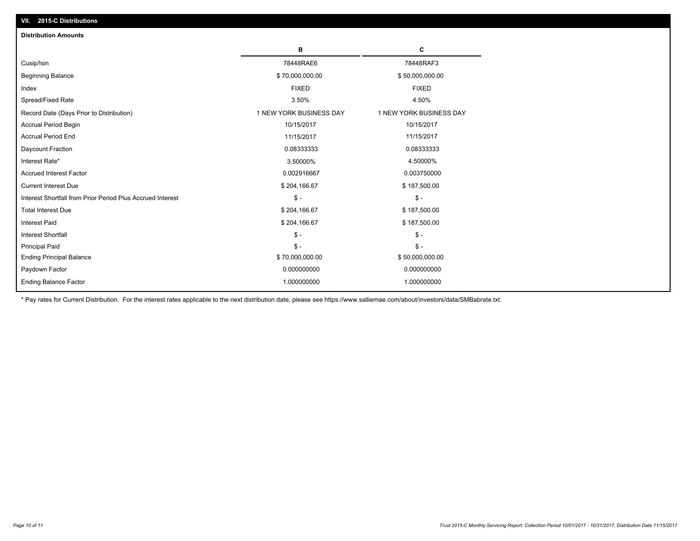| <b>Distribution Amounts</b>                                |                         |                         |
|------------------------------------------------------------|-------------------------|-------------------------|
|                                                            | в                       | C                       |
| Cusip/Isin                                                 | 78448RAE6               | 78448RAF3               |
| <b>Beginning Balance</b>                                   | \$70,000,000.00         | \$50,000,000.00         |
| Index                                                      | <b>FIXED</b>            | <b>FIXED</b>            |
| Spread/Fixed Rate                                          | 3.50%                   | 4.50%                   |
| Record Date (Days Prior to Distribution)                   | 1 NEW YORK BUSINESS DAY | 1 NEW YORK BUSINESS DAY |
| <b>Accrual Period Begin</b>                                | 10/15/2017              | 10/15/2017              |
| <b>Accrual Period End</b>                                  | 11/15/2017              | 11/15/2017              |
| Daycount Fraction                                          | 0.08333333              | 0.08333333              |
| Interest Rate*                                             | 3.50000%                | 4.50000%                |
| <b>Accrued Interest Factor</b>                             | 0.002916667             | 0.003750000             |
| <b>Current Interest Due</b>                                | \$204,166.67            | \$187,500.00            |
| Interest Shortfall from Prior Period Plus Accrued Interest | $\mathcal{S}$ -         | $$ -$                   |
| <b>Total Interest Due</b>                                  | \$204,166.67            | \$187,500.00            |
| <b>Interest Paid</b>                                       | \$204,166.67            | \$187,500.00            |
| <b>Interest Shortfall</b>                                  | $\mathbb{S}$ -          | $S -$                   |
| <b>Principal Paid</b>                                      | $\mathbb{S}$ -          | $S -$                   |
| <b>Ending Principal Balance</b>                            | \$70,000,000.00         | \$50,000,000.00         |
| Paydown Factor                                             | 0.000000000             | 0.000000000             |
| <b>Ending Balance Factor</b>                               | 1.000000000             | 1.000000000             |

\* Pay rates for Current Distribution. For the interest rates applicable to the next distribution date, please see https://www.salliemae.com/about/investors/data/SMBabrate.txt.

**VII. 2015-C Distributions**